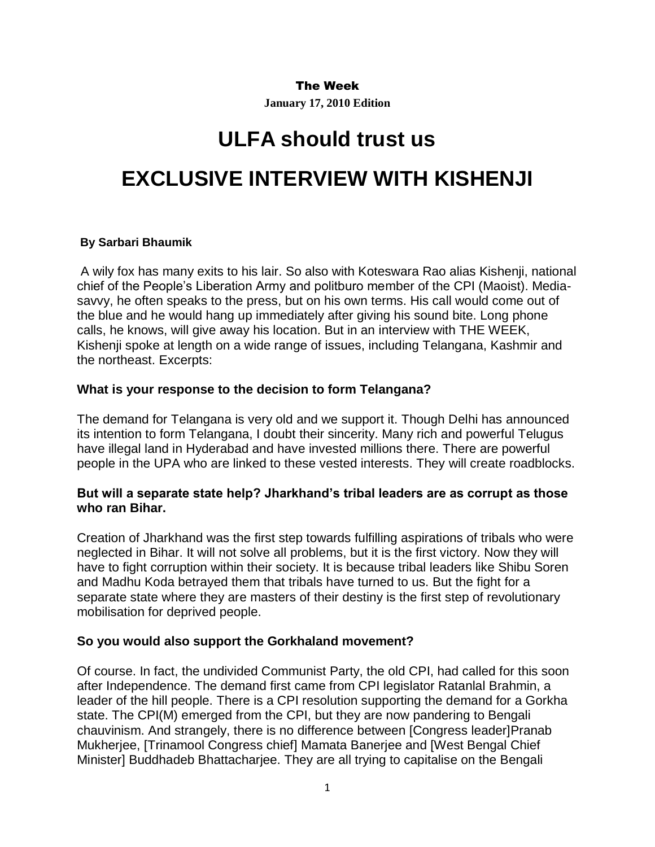#### The Week

**January 17, 2010 Edition**

# **ULFA should trust us EXCLUSIVE INTERVIEW WITH KISHENJI**

#### **By Sarbari Bhaumik**

A wily fox has many exits to his lair. So also with Koteswara Rao alias Kishenji, national chief of the People's Liberation Army and politburo member of the CPI (Maoist). Mediasavvy, he often speaks to the press, but on his own terms. His call would come out of the blue and he would hang up immediately after giving his sound bite. Long phone calls, he knows, will give away his location. But in an interview with THE WEEK, Kishenji spoke at length on a wide range of issues, including Telangana, Kashmir and the northeast. Excerpts:

## **What is your response to the decision to form Telangana?**

The demand for Telangana is very old and we support it. Though Delhi has announced its intention to form Telangana, I doubt their sincerity. Many rich and powerful Telugus have illegal land in Hyderabad and have invested millions there. There are powerful people in the UPA who are linked to these vested interests. They will create roadblocks.

## **But will a separate state help? Jharkhand's tribal leaders are as corrupt as those who ran Bihar.**

Creation of Jharkhand was the first step towards fulfilling aspirations of tribals who were neglected in Bihar. It will not solve all problems, but it is the first victory. Now they will have to fight corruption within their society. It is because tribal leaders like Shibu Soren and Madhu Koda betrayed them that tribals have turned to us. But the fight for a separate state where they are masters of their destiny is the first step of revolutionary mobilisation for deprived people.

## **So you would also support the Gorkhaland movement?**

Of course. In fact, the undivided Communist Party, the old CPI, had called for this soon after Independence. The demand first came from CPI legislator Ratanlal Brahmin, a leader of the hill people. There is a CPI resolution supporting the demand for a Gorkha state. The CPI(M) emerged from the CPI, but they are now pandering to Bengali chauvinism. And strangely, there is no difference between [Congress leader]Pranab Mukherjee, [Trinamool Congress chief] Mamata Banerjee and [West Bengal Chief Minister] Buddhadeb Bhattacharjee. They are all trying to capitalise on the Bengali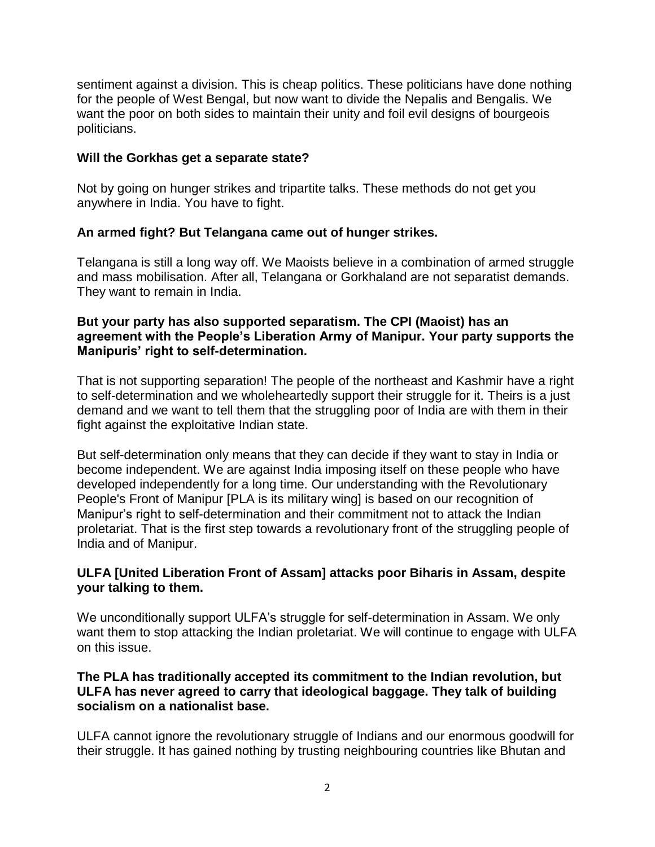sentiment against a division. This is cheap politics. These politicians have done nothing for the people of West Bengal, but now want to divide the Nepalis and Bengalis. We want the poor on both sides to maintain their unity and foil evil designs of bourgeois politicians.

## **Will the Gorkhas get a separate state?**

Not by going on hunger strikes and tripartite talks. These methods do not get you anywhere in India. You have to fight.

# **An armed fight? But Telangana came out of hunger strikes.**

Telangana is still a long way off. We Maoists believe in a combination of armed struggle and mass mobilisation. After all, Telangana or Gorkhaland are not separatist demands. They want to remain in India.

## **But your party has also supported separatism. The CPI (Maoist) has an agreement with the People's Liberation Army of Manipur. Your party supports the Manipuris' right to self-determination.**

That is not supporting separation! The people of the northeast and Kashmir have a right to self-determination and we wholeheartedly support their struggle for it. Theirs is a just demand and we want to tell them that the struggling poor of India are with them in their fight against the exploitative Indian state.

But self-determination only means that they can decide if they want to stay in India or become independent. We are against India imposing itself on these people who have developed independently for a long time. Our understanding with the Revolutionary People's Front of Manipur [PLA is its military wing] is based on our recognition of Manipur's right to self-determination and their commitment not to attack the Indian proletariat. That is the first step towards a revolutionary front of the struggling people of India and of Manipur.

# **ULFA [United Liberation Front of Assam] attacks poor Biharis in Assam, despite your talking to them.**

We unconditionally support ULFA's struggle for self-determination in Assam. We only want them to stop attacking the Indian proletariat. We will continue to engage with ULFA on this issue.

## **The PLA has traditionally accepted its commitment to the Indian revolution, but ULFA has never agreed to carry that ideological baggage. They talk of building socialism on a nationalist base.**

ULFA cannot ignore the revolutionary struggle of Indians and our enormous goodwill for their struggle. It has gained nothing by trusting neighbouring countries like Bhutan and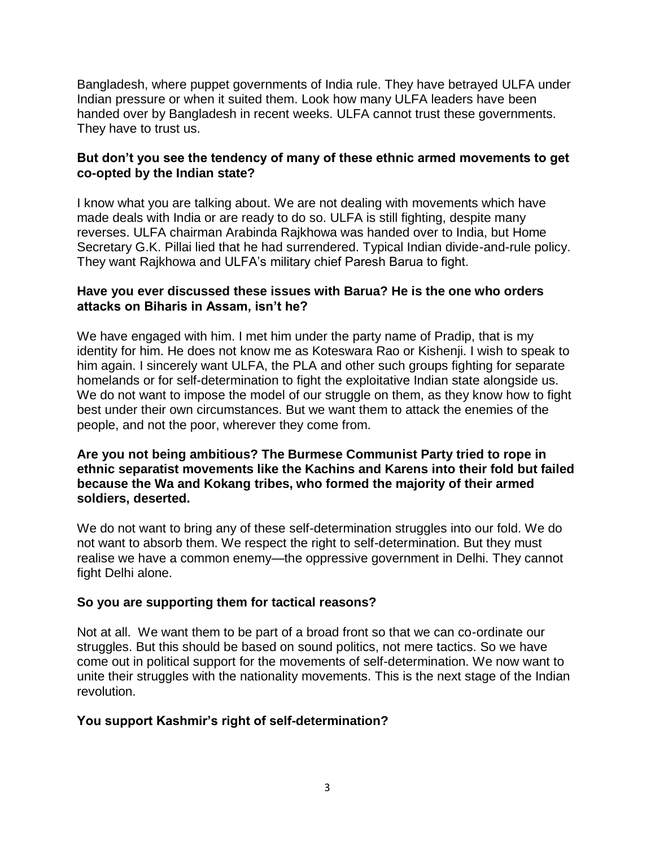Bangladesh, where puppet governments of India rule. They have betrayed ULFA under Indian pressure or when it suited them. Look how many ULFA leaders have been handed over by Bangladesh in recent weeks. ULFA cannot trust these governments. They have to trust us.

## **But don't you see the tendency of many of these ethnic armed movements to get co-opted by the Indian state?**

I know what you are talking about. We are not dealing with movements which have made deals with India or are ready to do so. ULFA is still fighting, despite many reverses. ULFA chairman Arabinda Rajkhowa was handed over to India, but Home Secretary G.K. Pillai lied that he had surrendered. Typical Indian divide-and-rule policy. They want Rajkhowa and ULFA's military chief Paresh Barua to fight.

## **Have you ever discussed these issues with Barua? He is the one who orders attacks on Biharis in Assam, isn't he?**

We have engaged with him. I met him under the party name of Pradip, that is my identity for him. He does not know me as Koteswara Rao or Kishenji. I wish to speak to him again. I sincerely want ULFA, the PLA and other such groups fighting for separate homelands or for self-determination to fight the exploitative Indian state alongside us. We do not want to impose the model of our struggle on them, as they know how to fight best under their own circumstances. But we want them to attack the enemies of the people, and not the poor, wherever they come from.

## **Are you not being ambitious? The Burmese Communist Party tried to rope in ethnic separatist movements like the Kachins and Karens into their fold but failed because the Wa and Kokang tribes, who formed the majority of their armed soldiers, deserted.**

We do not want to bring any of these self-determination struggles into our fold. We do not want to absorb them. We respect the right to self-determination. But they must realise we have a common enemy—the oppressive government in Delhi. They cannot fight Delhi alone.

## **So you are supporting them for tactical reasons?**

Not at all. We want them to be part of a broad front so that we can co-ordinate our struggles. But this should be based on sound politics, not mere tactics. So we have come out in political support for the movements of self-determination. We now want to unite their struggles with the nationality movements. This is the next stage of the Indian revolution.

## **You support Kashmir's right of self-determination?**